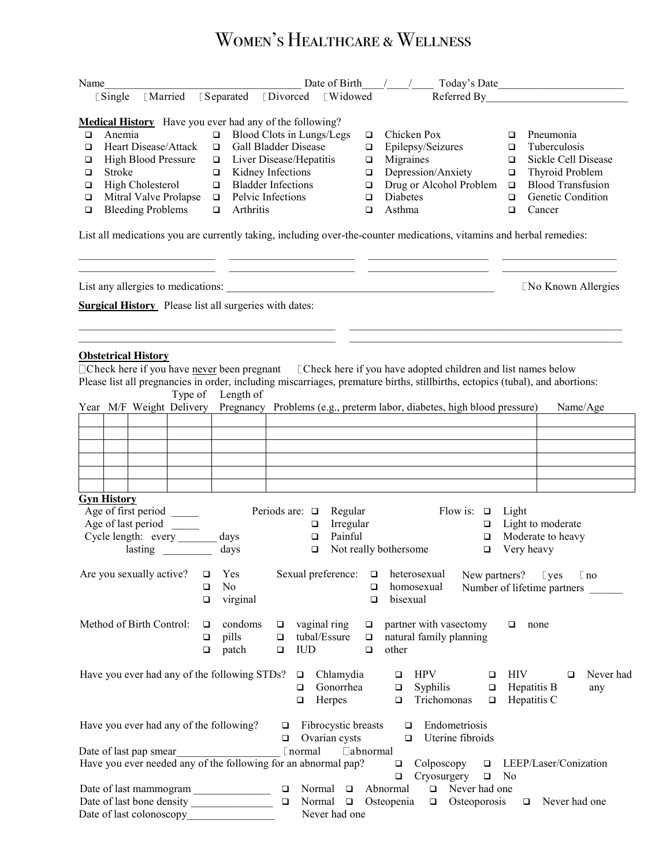## **OB/GYN HEALTH PARTNERS** Women's Healthcare & Wellness

| Name                                                           |                            |                 |                                | Date of Birth | Today's Date            |   |                          |  |  |  |  |  |
|----------------------------------------------------------------|----------------------------|-----------------|--------------------------------|---------------|-------------------------|---|--------------------------|--|--|--|--|--|
| <b>Separated</b><br><b>L</b> Married<br>$\sqrt{2}$ Single      |                            | <b>Divorced</b> | [Widowed]                      | Referred By   |                         |   |                          |  |  |  |  |  |
| <b>Medical History</b> Have you ever had any of the following? |                            |                 |                                |               |                         |   |                          |  |  |  |  |  |
| ◻                                                              | Anemia                     | ▫               | Blood Clots in Lungs/Legs      | ◻             | Chicken Pox             |   | Pneumonia                |  |  |  |  |  |
| ◻                                                              | Heart Disease/Attack       |                 | <b>Gall Bladder Disease</b>    | □             | Epilepsy/Seizures       |   | Tuberculosis             |  |  |  |  |  |
| □                                                              | <b>High Blood Pressure</b> |                 | $\Box$ Liver Disease/Hepatitis | □             | Migraines               |   | Sickle Cell Disease      |  |  |  |  |  |
| ◻                                                              | <b>Stroke</b>              |                 | Kidney Infections              |               | Depression/Anxiety      | □ | <b>Thyroid Problem</b>   |  |  |  |  |  |
| □                                                              | High Cholesterol           |                 | <b>Bladder Infections</b>      | □             | Drug or Alcohol Problem | ◻ | <b>Blood Transfusion</b> |  |  |  |  |  |
| □                                                              | Mitral Valve Prolapse<br>□ |                 | Pelvic Infections              |               | <b>Diabetes</b>         |   | <b>Genetic Condition</b> |  |  |  |  |  |
| ◻                                                              | <b>Bleeding Problems</b>   |                 | <b>Arthritis</b>               | ◻             | Asthma                  |   | Cancer                   |  |  |  |  |  |
|                                                                |                            |                 |                                |               |                         |   |                          |  |  |  |  |  |

List all medications you are currently taking, including over-the-counter medications, vitamins and herbal remedies:

\_\_\_\_\_\_\_\_\_\_\_\_\_\_\_\_\_\_\_\_\_\_\_\_\_ \_\_\_\_\_\_\_\_\_\_\_\_\_\_\_\_\_\_\_\_\_\_\_ \_\_\_\_\_\_\_\_\_\_\_\_\_\_\_\_\_\_\_\_\_\_ \_\_\_\_\_\_\_\_\_\_\_\_\_\_\_\_\_\_\_\_\_ \_\_\_\_\_\_\_\_\_\_\_\_\_\_\_\_\_\_\_\_\_\_\_\_\_ \_\_\_\_\_\_\_\_\_\_\_\_\_\_\_\_\_\_\_\_\_\_\_ \_\_\_\_\_\_\_\_\_\_\_\_\_\_\_\_\_\_\_\_\_\_ \_\_\_\_\_\_\_\_\_\_\_\_\_\_\_\_\_\_\_\_\_

 $\mathcal{L}_\text{max}$ 

List any allergies to medications: \_\_\_\_\_\_\_\_\_\_\_\_\_\_\_\_\_\_\_\_\_\_\_\_\_\_\_\_\_\_\_\_\_\_\_\_\_\_\_\_\_\_\_\_\_\_\_\_\_ No Known Allergies

**Surgical History** Please list all surgeries with dates:

## **Obstetrical History**

□Check here if you have never been pregnant [Check here if you have adopted children and list names below Please list all pregnancies in order, including miscarriages, premature births, stillbirths, ectopics (tubal), and abortions: Type of Length of

|                                                           |                    |                          | I YUU UI |                       | Lengur of<br>Year M/F Weight Delivery Pregnancy Problems (e.g., preterm labor, diabetes, high blood pressure) |                             |                                                   |               |                  |                                                                          |                  |                                     |                                   |        |                                           |                      |        | Name/Age                    |
|-----------------------------------------------------------|--------------------|--------------------------|----------|-----------------------|---------------------------------------------------------------------------------------------------------------|-----------------------------|---------------------------------------------------|---------------|------------------|--------------------------------------------------------------------------|------------------|-------------------------------------|-----------------------------------|--------|-------------------------------------------|----------------------|--------|-----------------------------|
|                                                           |                    |                          |          |                       |                                                                                                               |                             |                                                   |               |                  |                                                                          |                  |                                     |                                   |        |                                           |                      |        |                             |
|                                                           |                    |                          |          |                       |                                                                                                               |                             |                                                   |               |                  |                                                                          |                  |                                     |                                   |        |                                           |                      |        |                             |
|                                                           |                    |                          |          |                       |                                                                                                               |                             |                                                   |               |                  |                                                                          |                  |                                     |                                   |        |                                           |                      |        |                             |
|                                                           |                    |                          |          |                       |                                                                                                               |                             |                                                   |               |                  |                                                                          |                  |                                     |                                   |        |                                           |                      |        |                             |
|                                                           |                    |                          |          |                       |                                                                                                               |                             |                                                   |               |                  |                                                                          |                  |                                     |                                   |        |                                           |                      |        |                             |
|                                                           | <b>Gyn History</b> |                          |          |                       |                                                                                                               |                             |                                                   |               |                  |                                                                          |                  |                                     |                                   |        |                                           |                      |        |                             |
|                                                           |                    |                          |          |                       |                                                                                                               | Periods are: $\Box$ Regular |                                                   |               |                  |                                                                          |                  |                                     |                                   |        | Flow is: $\Box$ Light                     |                      |        |                             |
| Age of first period _____                                 |                    |                          |          | $\Box$                | Irregular                                                                                                     |                             |                                                   |               |                  |                                                                          |                  | $\Box$ Light to moderate            |                                   |        |                                           |                      |        |                             |
| Age of last period _______<br>Cycle length: every<br>days |                    |                          |          | $\Box$                | Painful                                                                                                       |                             |                                                   |               |                  |                                                                          | $\Box$           | Moderate to heavy                   |                                   |        |                                           |                      |        |                             |
| days                                                      |                    |                          |          | $\Box$                |                                                                                                               |                             | Not really bothersome                             |               |                  |                                                                          | $\Box$           | Very heavy                          |                                   |        |                                           |                      |        |                             |
|                                                           |                    |                          |          |                       |                                                                                                               |                             |                                                   |               |                  |                                                                          |                  |                                     |                                   |        |                                           |                      |        |                             |
|                                                           |                    | Are you sexually active? |          | $\Box$<br>□<br>$\Box$ | Yes<br>N <sub>0</sub><br>virginal                                                                             |                             | Sexual preference: $\Box$                         |               | $\Box$<br>$\Box$ | bisexual                                                                 |                  | heterosexual<br>homosexual          |                                   |        | New partners? $\Box$ yes $\Box$ no        |                      |        | Number of lifetime partners |
|                                                           |                    | Method of Birth Control: |          | □<br>$\Box$           | $\Box$ condoms<br>pills<br>patch                                                                              | $\Box$<br>$\Box$            | $\Box$ vaginal ring<br>tubal/Essure<br><b>IUD</b> |               | $\Box$           | $\Box$ partner with vasectomy<br>$\Box$ natural family planning<br>other |                  |                                     |                                   |        | $\Box$                                    | none                 |        |                             |
|                                                           |                    |                          |          |                       | Have you ever had any of the following STDs?                                                                  |                             | $\Box$<br>$\Box$<br>$\Box$                        | Chlamydia     | Herpes           | $\Box$<br>$\Box$                                                         |                  | <b>HPV</b><br>Trichomonas $\square$ |                                   | $\Box$ | HIV<br>Gonorrhea a Syphilis a Hepatitis B | Hepatitis C          | $\Box$ | Never had<br>any            |
|                                                           |                    |                          |          |                       | Have you ever had any of the following?                                                                       | $\Box$                      | $\Box$ Fibrocystic breasts<br>Ovarian cysts       |               |                  |                                                                          | $\Box$<br>$\Box$ |                                     | Endometriosis<br>Uterine fibroids |        |                                           |                      |        |                             |
|                                                           |                    | Date of last pap smear   |          |                       |                                                                                                               |                             |                                                   |               | $\Box$ abnormal  |                                                                          |                  |                                     |                                   |        |                                           |                      |        |                             |
|                                                           |                    |                          |          |                       | Have you ever needed any of the following for an abnormal pap? $\Box$ Colposcopy $\Box$ LEEP/Laser/Conization |                             |                                                   |               |                  |                                                                          |                  |                                     |                                   |        |                                           |                      |        |                             |
|                                                           |                    |                          |          |                       |                                                                                                               |                             |                                                   |               |                  | $\Box$                                                                   |                  | Cryosurgery $\Box$ No               |                                   |        |                                           |                      |        |                             |
|                                                           |                    |                          |          |                       | Date of last mammogram                                                                                        |                             | $\Box$ Normal $\Box$ Abnormal                     |               |                  |                                                                          |                  |                                     | $\Box$ Never had one              |        |                                           |                      |        |                             |
|                                                           |                    |                          |          |                       | Date of last bone density                                                                                     | $\Box$                      |                                                   |               |                  | Normal $\Box$ Osteopenia $\Box$ Osteoporosis                             |                  |                                     |                                   |        |                                           | $\Box$ Never had one |        |                             |
|                                                           |                    | Date of last colonoscopy |          |                       |                                                                                                               |                             |                                                   | Never had one |                  |                                                                          |                  |                                     |                                   |        |                                           |                      |        |                             |